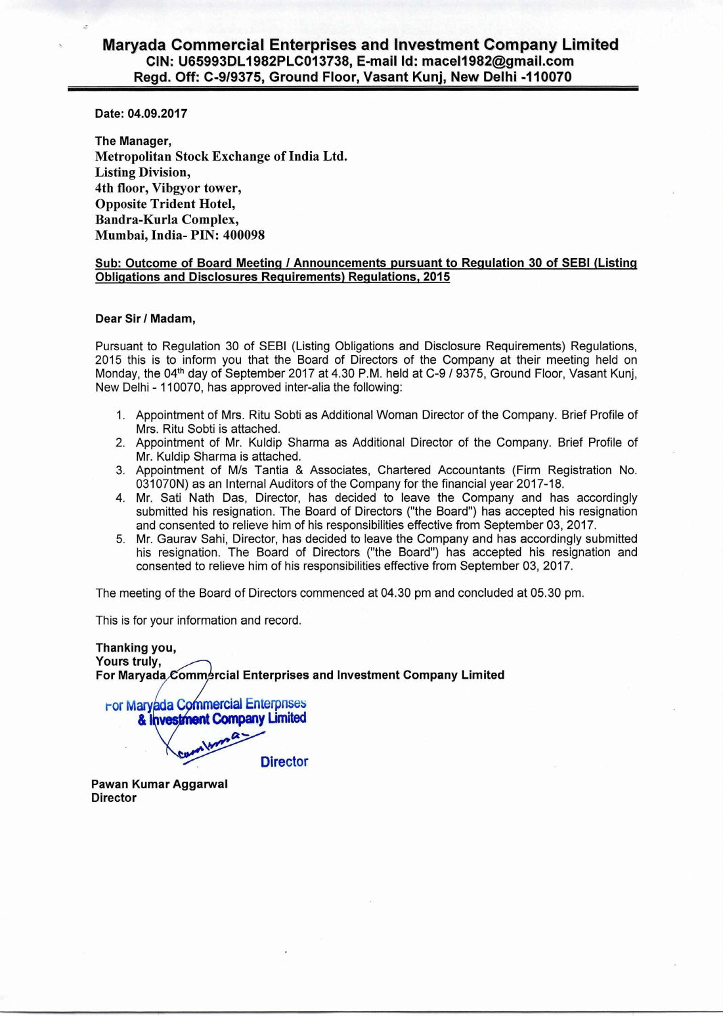# **Maryada Commercial Enterprises and Investment Company Limited CIN: U65993DL1982PLC013738, E-mail Id: mace11982@gmail.com Regd. Off: C-9/9375, Ground Floor, Vasant Kunj, New Delhi -110070**

**Date: 04.09.2017** 

**The Manager,**  Metropolitan Stock Exchange of India Ltd. Listing Division, 4th floor, Vibgyor tower, Opposite Trident Hotel, Bandra-Kurla Complex, Mumbai, India- PIN: 400098

### **Sub: Outcome of Board Meeting / Announcements pursuant to Regulation 30 of SEBI (Listing Obligations and Disclosures Requirements) Regulations, 2015**

#### **Dear Sir / Madam,**

Pursuant to Regulation 30 of SEBI (Listing Obligations and Disclosure Requirements) Regulations, 2015 this is to inform you that the Board of Directors of the Company at their meeting held on Monday, the 04<sup>th</sup> day of September 2017 at 4.30 P.M. held at C-9 / 9375, Ground Floor, Vasant Kunj, New Delhi - 110070, has approved inter-alia the following:

- 1. Appointment of Mrs. Ritu Sobti as Additional Woman Director of the Company. Brief Profile of Mrs. Ritu Sobti is attached.
- 2. Appointment of Mr. Kuldip Sharma as Additional Director of the Company. Brief Profile of Mr. Kuldip Sharma is attached.
- 3. Appointment of M/s Tantia & Associates, Chartered Accountants (Firm Registration No. 031070N) as an Internal Auditors of the Company for the financial year 2017-18.
- 4. Mr. Sati Nath Das, Director, has decided to leave the Company and has accordingly submitted his resignation. The Board of Directors ("the Board") has accepted his resignation and consented to relieve him of his responsibilities effective from September 03, 2017.
- 5. Mr. Gaurav Sahi, Director, has decided to leave the Company and has accordingly submitted his resignation. The Board of Directors ("the Board") has accepted his resignation and consented to relieve him of his responsibilities effective from September 03, 2017.

The meeting of the Board of Directors commenced at 04.30 pm and concluded at 05.30 pm.

This is for your information and record.

**Thanking you, Yours truly,**  For Maryada Commercial Enterprises and Investment Company Limited

**For Maryada Commercial Enterprises** & Investment Company Limited **Director** 

**Pawan Kumar Aggarwal Director**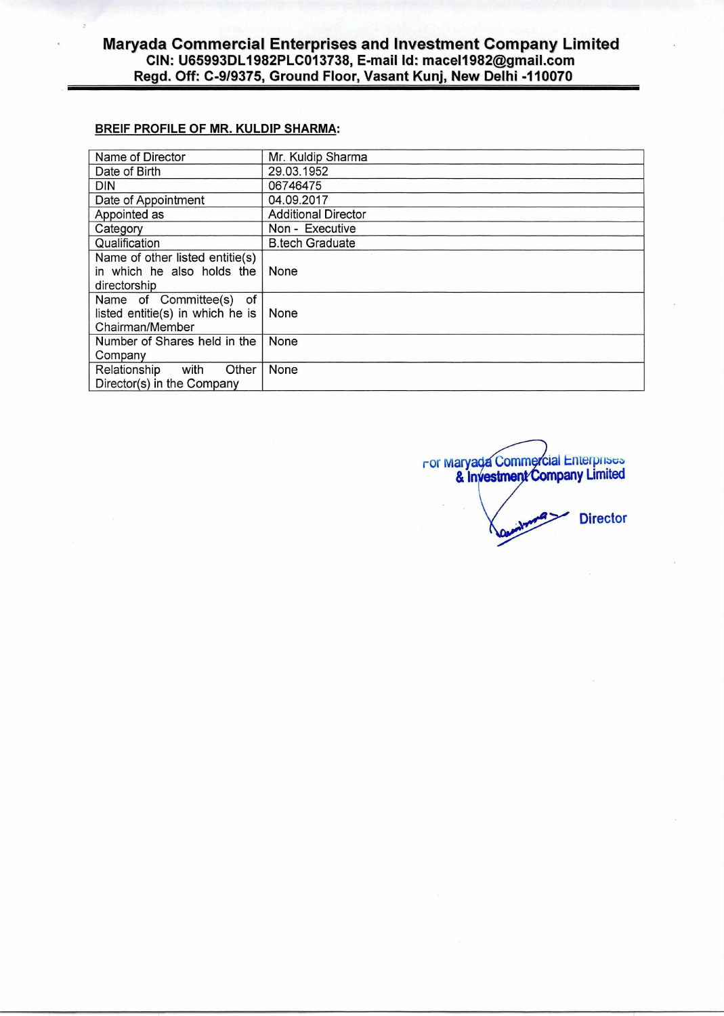## **BREIF PROFILE OF MR. KULDIP SHARMA:**

| Name of Director                 | Mr. Kuldip Sharma          |
|----------------------------------|----------------------------|
| Date of Birth                    | 29.03.1952                 |
| DIN                              | 06746475                   |
| Date of Appointment              | 04.09.2017                 |
| Appointed as                     | <b>Additional Director</b> |
| Category                         | Non - Executive            |
| Qualification                    | <b>B.tech Graduate</b>     |
| Name of other listed entitie(s)  |                            |
| in which he also holds the       | None                       |
| directorship                     |                            |
| Name of Committee(s)<br>of       |                            |
| listed entitie(s) in which he is | None                       |
| Chairman/Member                  |                            |
| Number of Shares held in the     | None                       |
| Company                          |                            |
| Relationship<br>with<br>Other    | None                       |
| Director(s) in the Company       |                            |

cial Enterprises **pany** Umited ror mary & In **Director**